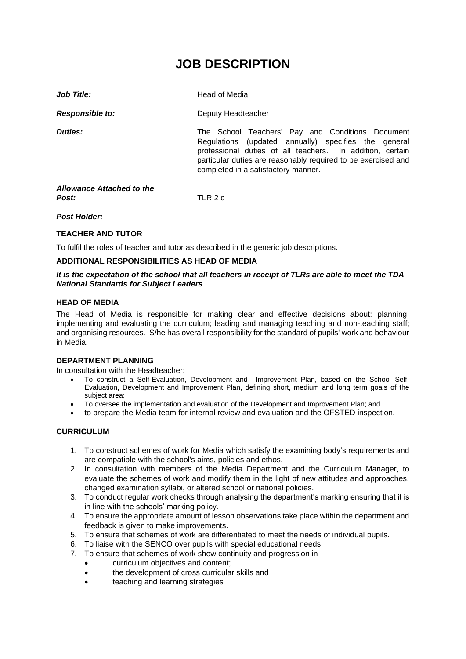# **JOB DESCRIPTION**

| Job Title:                         | Head of Media                                                                                                                                                                                                                                                                 |
|------------------------------------|-------------------------------------------------------------------------------------------------------------------------------------------------------------------------------------------------------------------------------------------------------------------------------|
| <b>Responsible to:</b>             | Deputy Headteacher                                                                                                                                                                                                                                                            |
| Duties:                            | The School Teachers' Pay and Conditions Document<br>Regulations (updated annually) specifies the general<br>professional duties of all teachers. In addition, certain<br>particular duties are reasonably required to be exercised and<br>completed in a satisfactory manner. |
| Allowance Attached to the<br>Post: | TLR 2 c                                                                                                                                                                                                                                                                       |

## *Post Holder:*

## **TEACHER AND TUTOR**

To fulfil the roles of teacher and tutor as described in the generic job descriptions.

#### **ADDITIONAL RESPONSIBILITIES AS HEAD OF MEDIA**

#### *It is the expectation of the school that all teachers in receipt of TLRs are able to meet the TDA National Standards for Subject Leaders*

#### **HEAD OF MEDIA**

The Head of Media is responsible for making clear and effective decisions about: planning, implementing and evaluating the curriculum; leading and managing teaching and non-teaching staff; and organising resources. S/he has overall responsibility for the standard of pupils' work and behaviour in Media.

#### **DEPARTMENT PLANNING**

In consultation with the Headteacher:

- To construct a Self-Evaluation, Development and Improvement Plan, based on the School Self-Evaluation, Development and Improvement Plan, defining short, medium and long term goals of the subject area;
- To oversee the implementation and evaluation of the Development and Improvement Plan; and
- to prepare the Media team for internal review and evaluation and the OFSTED inspection.

## **CURRICULUM**

- 1. To construct schemes of work for Media which satisfy the examining body's requirements and are compatible with the school's aims, policies and ethos.
- 2. In consultation with members of the Media Department and the Curriculum Manager, to evaluate the schemes of work and modify them in the light of new attitudes and approaches, changed examination syllabi, or altered school or national policies.
- 3. To conduct regular work checks through analysing the department's marking ensuring that it is in line with the schools' marking policy.
- 4. To ensure the appropriate amount of lesson observations take place within the department and feedback is given to make improvements.
- 5. To ensure that schemes of work are differentiated to meet the needs of individual pupils.
- 6. To liaise with the SENCO over pupils with special educational needs.
- 7. To ensure that schemes of work show continuity and progression in
	- curriculum objectives and content:
	- the development of cross curricular skills and
	- teaching and learning strategies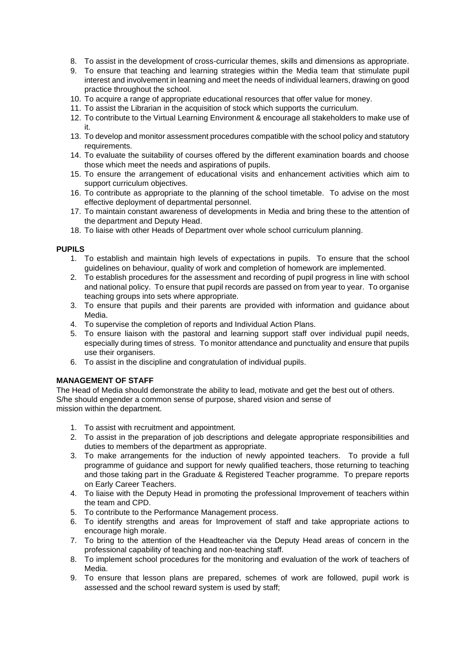- 8. To assist in the development of cross-curricular themes, skills and dimensions as appropriate.
- 9. To ensure that teaching and learning strategies within the Media team that stimulate pupil interest and involvement in learning and meet the needs of individual learners, drawing on good practice throughout the school.
- 10. To acquire a range of appropriate educational resources that offer value for money.
- 11. To assist the Librarian in the acquisition of stock which supports the curriculum.
- 12. To contribute to the Virtual Learning Environment & encourage all stakeholders to make use of it.
- 13. To develop and monitor assessment procedures compatible with the school policy and statutory requirements.
- 14. To evaluate the suitability of courses offered by the different examination boards and choose those which meet the needs and aspirations of pupils.
- 15. To ensure the arrangement of educational visits and enhancement activities which aim to support curriculum objectives.
- 16. To contribute as appropriate to the planning of the school timetable. To advise on the most effective deployment of departmental personnel.
- 17. To maintain constant awareness of developments in Media and bring these to the attention of the department and Deputy Head.
- 18. To liaise with other Heads of Department over whole school curriculum planning.

## **PUPILS**

- 1. To establish and maintain high levels of expectations in pupils. To ensure that the school guidelines on behaviour, quality of work and completion of homework are implemented.
- 2. To establish procedures for the assessment and recording of pupil progress in line with school and national policy. To ensure that pupil records are passed on from year to year. To organise teaching groups into sets where appropriate.
- 3. To ensure that pupils and their parents are provided with information and guidance about Media.
- 4. To supervise the completion of reports and Individual Action Plans.
- 5. To ensure liaison with the pastoral and learning support staff over individual pupil needs, especially during times of stress. To monitor attendance and punctuality and ensure that pupils use their organisers.
- 6. To assist in the discipline and congratulation of individual pupils.

## **MANAGEMENT OF STAFF**

The Head of Media should demonstrate the ability to lead, motivate and get the best out of others. S/he should engender a common sense of purpose, shared vision and sense of mission within the department.

- 1. To assist with recruitment and appointment.
- 2. To assist in the preparation of job descriptions and delegate appropriate responsibilities and duties to members of the department as appropriate.
- 3. To make arrangements for the induction of newly appointed teachers. To provide a full programme of guidance and support for newly qualified teachers, those returning to teaching and those taking part in the Graduate & Registered Teacher programme. To prepare reports on Early Career Teachers.
- 4. To liaise with the Deputy Head in promoting the professional Improvement of teachers within the team and CPD.
- 5. To contribute to the Performance Management process.
- 6. To identify strengths and areas for Improvement of staff and take appropriate actions to encourage high morale.
- 7. To bring to the attention of the Headteacher via the Deputy Head areas of concern in the professional capability of teaching and non-teaching staff.
- 8. To implement school procedures for the monitoring and evaluation of the work of teachers of Media.
- 9. To ensure that lesson plans are prepared, schemes of work are followed, pupil work is assessed and the school reward system is used by staff;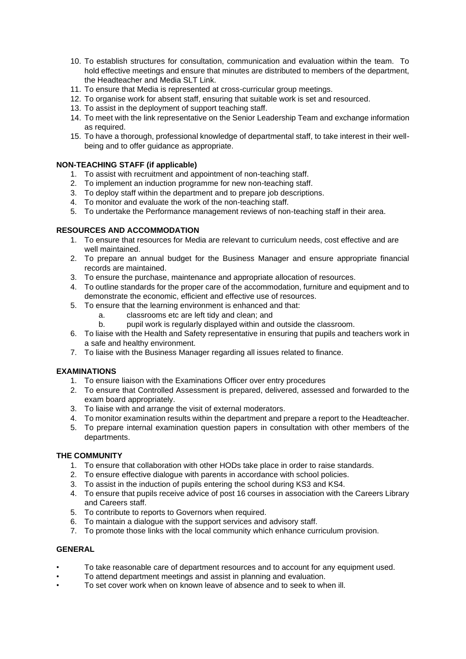- 10. To establish structures for consultation, communication and evaluation within the team. To hold effective meetings and ensure that minutes are distributed to members of the department, the Headteacher and Media SLT Link.
- 11. To ensure that Media is represented at cross-curricular group meetings.
- 12. To organise work for absent staff, ensuring that suitable work is set and resourced.
- 13. To assist in the deployment of support teaching staff.
- 14. To meet with the link representative on the Senior Leadership Team and exchange information as required.
- 15. To have a thorough, professional knowledge of departmental staff, to take interest in their wellbeing and to offer guidance as appropriate.

## **NON-TEACHING STAFF (if applicable)**

- 1. To assist with recruitment and appointment of non-teaching staff.
- 2. To implement an induction programme for new non-teaching staff.
- 3. To deploy staff within the department and to prepare job descriptions.
- 4. To monitor and evaluate the work of the non-teaching staff.
- 5. To undertake the Performance management reviews of non-teaching staff in their area.

# **RESOURCES AND ACCOMMODATION**

- 1. To ensure that resources for Media are relevant to curriculum needs, cost effective and are well maintained.
- 2. To prepare an annual budget for the Business Manager and ensure appropriate financial records are maintained.
- 3. To ensure the purchase, maintenance and appropriate allocation of resources.
- 4. To outline standards for the proper care of the accommodation, furniture and equipment and to demonstrate the economic, efficient and effective use of resources.
- 5. To ensure that the learning environment is enhanced and that:
	- a. classrooms etc are left tidy and clean; and
	- b. pupil work is regularly displayed within and outside the classroom.
- 6. To liaise with the Health and Safety representative in ensuring that pupils and teachers work in a safe and healthy environment.
- 7. To liaise with the Business Manager regarding all issues related to finance.

## **EXAMINATIONS**

- 1. To ensure liaison with the Examinations Officer over entry procedures
- 2. To ensure that Controlled Assessment is prepared, delivered, assessed and forwarded to the exam board appropriately.
- 3. To liaise with and arrange the visit of external moderators.
- 4. To monitor examination results within the department and prepare a report to the Headteacher.
- 5. To prepare internal examination question papers in consultation with other members of the departments.

## **THE COMMUNITY**

- 1. To ensure that collaboration with other HODs take place in order to raise standards.
- 2. To ensure effective dialogue with parents in accordance with school policies.
- 3. To assist in the induction of pupils entering the school during KS3 and KS4.
- 4. To ensure that pupils receive advice of post 16 courses in association with the Careers Library and Careers staff.
- 5. To contribute to reports to Governors when required.
- 6. To maintain a dialogue with the support services and advisory staff.
- 7. To promote those links with the local community which enhance curriculum provision.

# **GENERAL**

- To take reasonable care of department resources and to account for any equipment used.
- To attend department meetings and assist in planning and evaluation.
- To set cover work when on known leave of absence and to seek to when ill.